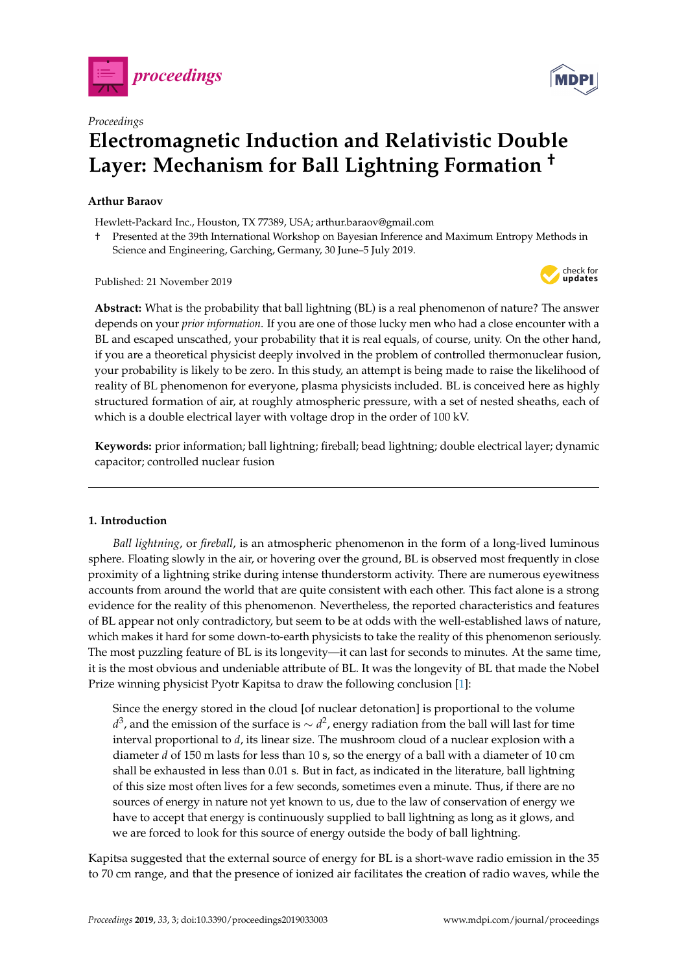

## *Proceedings*

# **Electromagnetic Induction and Relativistic Double Layer: Mechanism for Ball Lightning Formation †**

## **Arthur Baraov**

Hewlett-Packard Inc., Houston, TX 77389, USA; arthur.baraov@gmail.com

† Presented at the 39th International Workshop on Bayesian Inference and Maximum Entropy Methods in Science and Engineering, Garching, Germany, 30 June–5 July 2019.

Published: 21 November 2019



**MDP** 

**Abstract:** What is the probability that ball lightning (BL) is a real phenomenon of nature? The answer depends on your *prior information*. If you are one of those lucky men who had a close encounter with a BL and escaped unscathed, your probability that it is real equals, of course, unity. On the other hand, if you are a theoretical physicist deeply involved in the problem of controlled thermonuclear fusion, your probability is likely to be zero. In this study, an attempt is being made to raise the likelihood of reality of BL phenomenon for everyone, plasma physicists included. BL is conceived here as highly structured formation of air, at roughly atmospheric pressure, with a set of nested sheaths, each of which is a double electrical layer with voltage drop in the order of 100 kV.

**Keywords:** prior information; ball lightning; fireball; bead lightning; double electrical layer; dynamic capacitor; controlled nuclear fusion

## **1. Introduction**

*Ball lightning*, or *fireball*, is an atmospheric phenomenon in the form of a long-lived luminous sphere. Floating slowly in the air, or hovering over the ground, BL is observed most frequently in close proximity of a lightning strike during intense thunderstorm activity. There are numerous eyewitness accounts from around the world that are quite consistent with each other. This fact alone is a strong evidence for the reality of this phenomenon. Nevertheless, the reported characteristics and features of BL appear not only contradictory, but seem to be at odds with the well-established laws of nature, which makes it hard for some down-to-earth physicists to take the reality of this phenomenon seriously. The most puzzling feature of BL is its longevity—it can last for seconds to minutes. At the same time, it is the most obvious and undeniable attribute of BL. It was the longevity of BL that made the Nobel Prize winning physicist Pyotr Kapitsa to draw the following conclusion [\[1\]](#page-9-0):

Since the energy stored in the cloud [of nuclear detonation] is proportional to the volume *d*<sup>3</sup>, and the emission of the surface is ∼ *d*<sup>2</sup>, energy radiation from the ball will last for time interval proportional to *d*, its linear size. The mushroom cloud of a nuclear explosion with a diameter *d* of 150 m lasts for less than 10 s, so the energy of a ball with a diameter of 10 cm shall be exhausted in less than 0.01 s. But in fact, as indicated in the literature, ball lightning of this size most often lives for a few seconds, sometimes even a minute. Thus, if there are no sources of energy in nature not yet known to us, due to the law of conservation of energy we have to accept that energy is continuously supplied to ball lightning as long as it glows, and we are forced to look for this source of energy outside the body of ball lightning.

Kapitsa suggested that the external source of energy for BL is a short-wave radio emission in the 35 to 70 cm range, and that the presence of ionized air facilitates the creation of radio waves, while the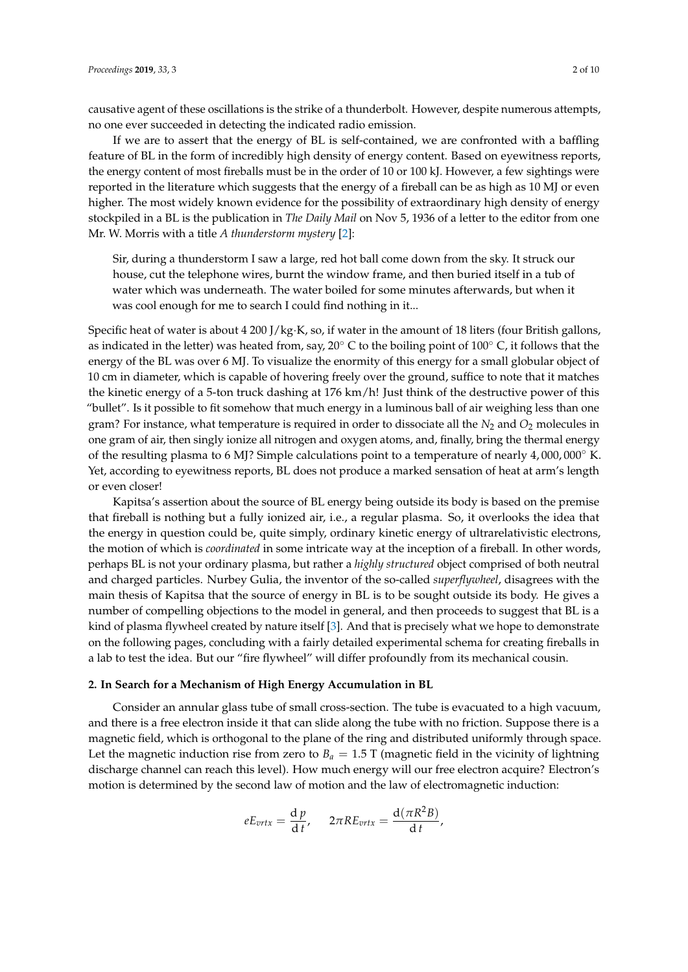causative agent of these oscillations is the strike of a thunderbolt. However, despite numerous attempts, no one ever succeeded in detecting the indicated radio emission.

If we are to assert that the energy of BL is self-contained, we are confronted with a baffling feature of BL in the form of incredibly high density of energy content. Based on eyewitness reports, the energy content of most fireballs must be in the order of 10 or 100 kJ. However, a few sightings were reported in the literature which suggests that the energy of a fireball can be as high as 10 MJ or even higher. The most widely known evidence for the possibility of extraordinary high density of energy stockpiled in a BL is the publication in *The Daily Mail* on Nov 5, 1936 of a letter to the editor from one Mr. W. Morris with a title *A thunderstorm mystery* [\[2\]](#page-9-1):

Sir, during a thunderstorm I saw a large, red hot ball come down from the sky. It struck our house, cut the telephone wires, burnt the window frame, and then buried itself in a tub of water which was underneath. The water boiled for some minutes afterwards, but when it was cool enough for me to search I could find nothing in it...

Specific heat of water is about 4 200 J/kg·K, so, if water in the amount of 18 liters (four British gallons, as indicated in the letter) was heated from, say, 20◦ C to the boiling point of 100◦ C, it follows that the energy of the BL was over 6 MJ. To visualize the enormity of this energy for a small globular object of 10 cm in diameter, which is capable of hovering freely over the ground, suffice to note that it matches the kinetic energy of a 5-ton truck dashing at 176 km/h! Just think of the destructive power of this "bullet". Is it possible to fit somehow that much energy in a luminous ball of air weighing less than one gram? For instance, what temperature is required in order to dissociate all the  $N<sub>2</sub>$  and  $O<sub>2</sub>$  molecules in one gram of air, then singly ionize all nitrogen and oxygen atoms, and, finally, bring the thermal energy of the resulting plasma to 6 MJ? Simple calculations point to a temperature of nearly 4, 000, 000◦ K. Yet, according to eyewitness reports, BL does not produce a marked sensation of heat at arm's length or even closer!

Kapitsa's assertion about the source of BL energy being outside its body is based on the premise that fireball is nothing but a fully ionized air, i.e., a regular plasma. So, it overlooks the idea that the energy in question could be, quite simply, ordinary kinetic energy of ultrarelativistic electrons, the motion of which is *coordinated* in some intricate way at the inception of a fireball. In other words, perhaps BL is not your ordinary plasma, but rather a *highly structured* object comprised of both neutral and charged particles. Nurbey Gulia, the inventor of the so-called *superflywheel*, disagrees with the main thesis of Kapitsa that the source of energy in BL is to be sought outside its body. He gives a number of compelling objections to the model in general, and then proceeds to suggest that BL is a kind of plasma flywheel created by nature itself [\[3\]](#page-9-2). And that is precisely what we hope to demonstrate on the following pages, concluding with a fairly detailed experimental schema for creating fireballs in a lab to test the idea. But our "fire flywheel" will differ profoundly from its mechanical cousin.

#### **2. In Search for a Mechanism of High Energy Accumulation in BL**

Consider an annular glass tube of small cross-section. The tube is evacuated to a high vacuum, and there is a free electron inside it that can slide along the tube with no friction. Suppose there is a magnetic field, which is orthogonal to the plane of the ring and distributed uniformly through space. Let the magnetic induction rise from zero to  $B<sub>a</sub> = 1.5$  T (magnetic field in the vicinity of lightning discharge channel can reach this level). How much energy will our free electron acquire? Electron's motion is determined by the second law of motion and the law of electromagnetic induction:

$$
eE_{vrtx} = \frac{d p}{dt}, \quad 2\pi R E_{vrtx} = \frac{d(\pi R^2 B)}{dt},
$$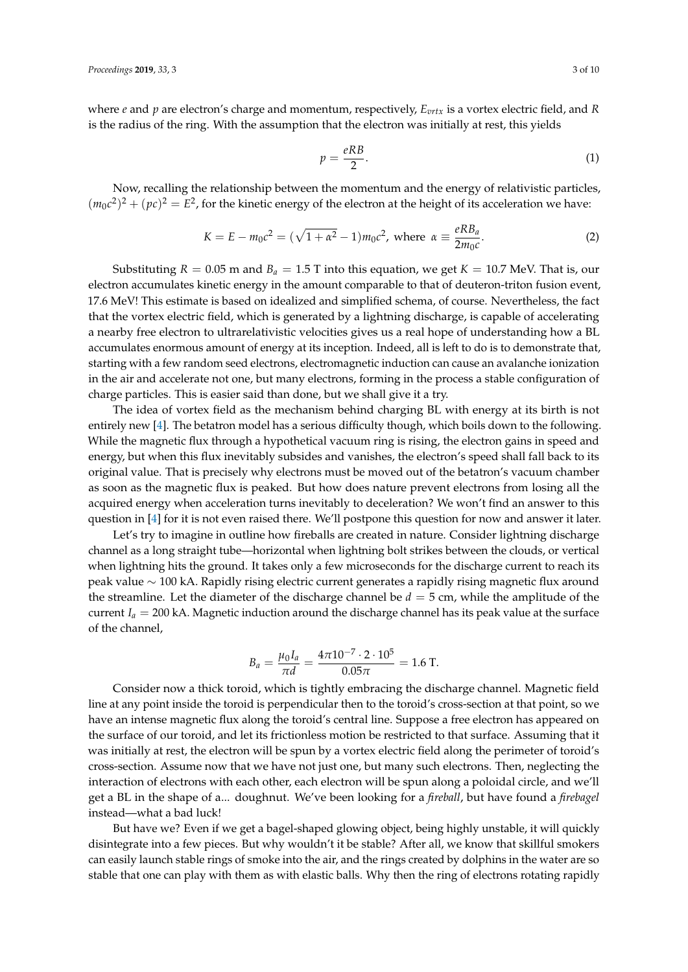where *e* and *p* are electron's charge and momentum, respectively, *Evrtx* is a vortex electric field, and *R* is the radius of the ring. With the assumption that the electron was initially at rest, this yields

$$
p = \frac{eRB}{2}.\tag{1}
$$

Now, recalling the relationship between the momentum and the energy of relativistic particles,  $(m_0c^2)^2 + (pc)^2 = E^2$ , for the kinetic energy of the electron at the height of its acceleration we have:

$$
K = E - m_0 c^2 = (\sqrt{1 + \alpha^2} - 1) m_0 c^2, \text{ where } \alpha \equiv \frac{e R B_a}{2 m_0 c}.
$$
 (2)

Substituting  $R = 0.05$  m and  $B_a = 1.5$  T into this equation, we get  $K = 10.7$  MeV. That is, our electron accumulates kinetic energy in the amount comparable to that of deuteron-triton fusion event, 17.6 MeV! This estimate is based on idealized and simplified schema, of course. Nevertheless, the fact that the vortex electric field, which is generated by a lightning discharge, is capable of accelerating a nearby free electron to ultrarelativistic velocities gives us a real hope of understanding how a BL accumulates enormous amount of energy at its inception. Indeed, all is left to do is to demonstrate that, starting with a few random seed electrons, electromagnetic induction can cause an avalanche ionization in the air and accelerate not one, but many electrons, forming in the process a stable configuration of charge particles. This is easier said than done, but we shall give it a try.

The idea of vortex field as the mechanism behind charging BL with energy at its birth is not entirely new [\[4\]](#page-9-3). The betatron model has a serious difficulty though, which boils down to the following. While the magnetic flux through a hypothetical vacuum ring is rising, the electron gains in speed and energy, but when this flux inevitably subsides and vanishes, the electron's speed shall fall back to its original value. That is precisely why electrons must be moved out of the betatron's vacuum chamber as soon as the magnetic flux is peaked. But how does nature prevent electrons from losing all the acquired energy when acceleration turns inevitably to deceleration? We won't find an answer to this question in [\[4\]](#page-9-3) for it is not even raised there. We'll postpone this question for now and answer it later.

Let's try to imagine in outline how fireballs are created in nature. Consider lightning discharge channel as a long straight tube—horizontal when lightning bolt strikes between the clouds, or vertical when lightning hits the ground. It takes only a few microseconds for the discharge current to reach its peak value ∼ 100 kA. Rapidly rising electric current generates a rapidly rising magnetic flux around the streamline. Let the diameter of the discharge channel be  $d = 5$  cm, while the amplitude of the current  $I_a = 200 \text{ kA}$ . Magnetic induction around the discharge channel has its peak value at the surface of the channel,

$$
B_a = \frac{\mu_0 I_a}{\pi d} = \frac{4\pi 10^{-7} \cdot 2 \cdot 10^5}{0.05\pi} = 1.6 \text{ T}.
$$

Consider now a thick toroid, which is tightly embracing the discharge channel. Magnetic field line at any point inside the toroid is perpendicular then to the toroid's cross-section at that point, so we have an intense magnetic flux along the toroid's central line. Suppose a free electron has appeared on the surface of our toroid, and let its frictionless motion be restricted to that surface. Assuming that it was initially at rest, the electron will be spun by a vortex electric field along the perimeter of toroid's cross-section. Assume now that we have not just one, but many such electrons. Then, neglecting the interaction of electrons with each other, each electron will be spun along a poloidal circle, and we'll get a BL in the shape of a... doughnut. We've been looking for a *fireball*, but have found a *firebagel* instead—what a bad luck!

But have we? Even if we get a bagel-shaped glowing object, being highly unstable, it will quickly disintegrate into a few pieces. But why wouldn't it be stable? After all, we know that skillful smokers can easily launch stable rings of smoke into the air, and the rings created by dolphins in the water are so stable that one can play with them as with elastic balls. Why then the ring of electrons rotating rapidly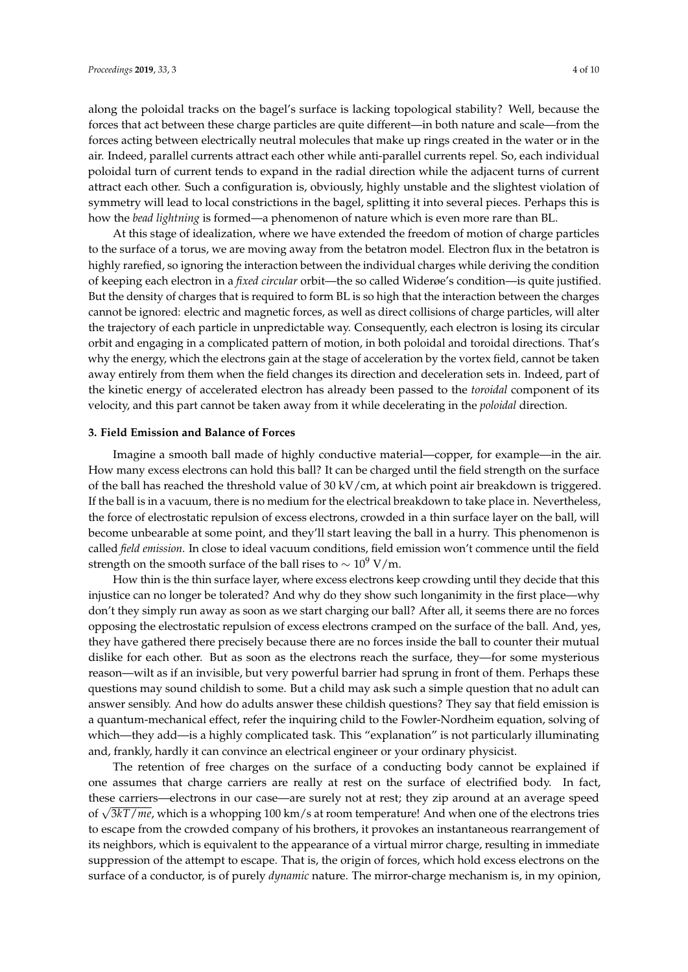along the poloidal tracks on the bagel's surface is lacking topological stability? Well, because the forces that act between these charge particles are quite different—in both nature and scale—from the forces acting between electrically neutral molecules that make up rings created in the water or in the air. Indeed, parallel currents attract each other while anti-parallel currents repel. So, each individual poloidal turn of current tends to expand in the radial direction while the adjacent turns of current attract each other. Such a configuration is, obviously, highly unstable and the slightest violation of symmetry will lead to local constrictions in the bagel, splitting it into several pieces. Perhaps this is how the *bead lightning* is formed—a phenomenon of nature which is even more rare than BL.

At this stage of idealization, where we have extended the freedom of motion of charge particles to the surface of a torus, we are moving away from the betatron model. Electron flux in the betatron is highly rarefied, so ignoring the interaction between the individual charges while deriving the condition of keeping each electron in a *fixed circular* orbit—the so called Widerøe's condition—is quite justified. But the density of charges that is required to form BL is so high that the interaction between the charges cannot be ignored: electric and magnetic forces, as well as direct collisions of charge particles, will alter the trajectory of each particle in unpredictable way. Consequently, each electron is losing its circular orbit and engaging in a complicated pattern of motion, in both poloidal and toroidal directions. That's why the energy, which the electrons gain at the stage of acceleration by the vortex field, cannot be taken away entirely from them when the field changes its direction and deceleration sets in. Indeed, part of the kinetic energy of accelerated electron has already been passed to the *toroidal* component of its velocity, and this part cannot be taken away from it while decelerating in the *poloidal* direction.

#### **3. Field Emission and Balance of Forces**

Imagine a smooth ball made of highly conductive material—copper, for example—in the air. How many excess electrons can hold this ball? It can be charged until the field strength on the surface of the ball has reached the threshold value of 30 kV/cm, at which point air breakdown is triggered. If the ball is in a vacuum, there is no medium for the electrical breakdown to take place in. Nevertheless, the force of electrostatic repulsion of excess electrons, crowded in a thin surface layer on the ball, will become unbearable at some point, and they'll start leaving the ball in a hurry. This phenomenon is called *field emission*. In close to ideal vacuum conditions, field emission won't commence until the field strength on the smooth surface of the ball rises to  $\sim 10^9$  V/m.

How thin is the thin surface layer, where excess electrons keep crowding until they decide that this injustice can no longer be tolerated? And why do they show such longanimity in the first place—why don't they simply run away as soon as we start charging our ball? After all, it seems there are no forces opposing the electrostatic repulsion of excess electrons cramped on the surface of the ball. And, yes, they have gathered there precisely because there are no forces inside the ball to counter their mutual dislike for each other. But as soon as the electrons reach the surface, they—for some mysterious reason—wilt as if an invisible, but very powerful barrier had sprung in front of them. Perhaps these questions may sound childish to some. But a child may ask such a simple question that no adult can answer sensibly. And how do adults answer these childish questions? They say that field emission is a quantum-mechanical effect, refer the inquiring child to the Fowler-Nordheim equation, solving of which—they add—is a highly complicated task. This "explanation" is not particularly illuminating and, frankly, hardly it can convince an electrical engineer or your ordinary physicist.

The retention of free charges on the surface of a conducting body cannot be explained if one assumes that charge carriers are really at rest on the surface of electrified body. In fact, these carriers—electrons in our case—are surely not at rest; they zip around at an average speed of <sup>√</sup> 3*kT*/*me*, which is a whopping 100 km/s at room temperature! And when one of the electrons tries to escape from the crowded company of his brothers, it provokes an instantaneous rearrangement of its neighbors, which is equivalent to the appearance of a virtual mirror charge, resulting in immediate suppression of the attempt to escape. That is, the origin of forces, which hold excess electrons on the surface of a conductor, is of purely *dynamic* nature. The mirror-charge mechanism is, in my opinion,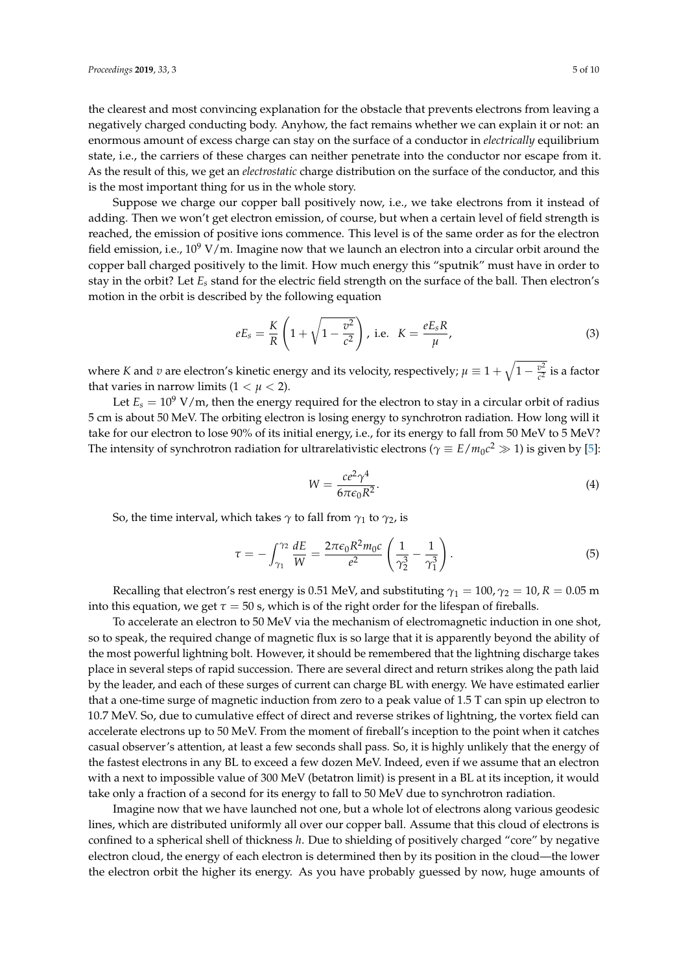the clearest and most convincing explanation for the obstacle that prevents electrons from leaving a negatively charged conducting body. Anyhow, the fact remains whether we can explain it or not: an enormous amount of excess charge can stay on the surface of a conductor in *electrically* equilibrium state, i.e., the carriers of these charges can neither penetrate into the conductor nor escape from it. As the result of this, we get an *electrostatic* charge distribution on the surface of the conductor, and this is the most important thing for us in the whole story.

Suppose we charge our copper ball positively now, i.e., we take electrons from it instead of adding. Then we won't get electron emission, of course, but when a certain level of field strength is reached, the emission of positive ions commence. This level is of the same order as for the electron field emission, i.e.,  $10^9$  V/m. Imagine now that we launch an electron into a circular orbit around the copper ball charged positively to the limit. How much energy this "sputnik" must have in order to stay in the orbit? Let *E<sup>s</sup>* stand for the electric field strength on the surface of the ball. Then electron's motion in the orbit is described by the following equation

$$
eE_s = \frac{K}{R} \left( 1 + \sqrt{1 - \frac{v^2}{c^2}} \right), \text{ i.e. } K = \frac{eE_s R}{\mu}, \tag{3}
$$

where *K* and *v* are electron's kinetic energy and its velocity, respectively;  $\mu \equiv 1 + \sqrt{1 - \frac{v^2}{c^2}}$  $\frac{v^2}{c^2}$  is a factor that varies in narrow limits  $(1 < \mu < 2)$ .

Let  $E_s = 10^9$  V/m, then the energy required for the electron to stay in a circular orbit of radius 5 cm is about 50 MeV. The orbiting electron is losing energy to synchrotron radiation. How long will it take for our electron to lose 90% of its initial energy, i.e., for its energy to fall from 50 MeV to 5 MeV? The intensity of synchrotron radiation for ultrarelativistic electrons ( $\gamma\equiv E/m_0c^2\gg 1$ ) is given by [\[5\]](#page-9-4):

$$
W = \frac{ce^2 \gamma^4}{6\pi\epsilon_0 R^2}.
$$
\n<sup>(4)</sup>

So, the time interval, which takes  $\gamma$  to fall from  $\gamma_1$  to  $\gamma_2$ , is

$$
\tau = -\int_{\gamma_1}^{\gamma_2} \frac{dE}{W} = \frac{2\pi\epsilon_0 R^2 m_0 c}{e^2} \left(\frac{1}{\gamma_2^3} - \frac{1}{\gamma_1^3}\right). \tag{5}
$$

Recalling that electron's rest energy is 0.51 MeV, and substituting  $\gamma_1 = 100$ ,  $\gamma_2 = 10$ ,  $R = 0.05$  m into this equation, we get  $\tau = 50$  s, which is of the right order for the lifespan of fireballs.

To accelerate an electron to 50 MeV via the mechanism of electromagnetic induction in one shot, so to speak, the required change of magnetic flux is so large that it is apparently beyond the ability of the most powerful lightning bolt. However, it should be remembered that the lightning discharge takes place in several steps of rapid succession. There are several direct and return strikes along the path laid by the leader, and each of these surges of current can charge BL with energy. We have estimated earlier that a one-time surge of magnetic induction from zero to a peak value of 1.5 T can spin up electron to 10.7 MeV. So, due to cumulative effect of direct and reverse strikes of lightning, the vortex field can accelerate electrons up to 50 MeV. From the moment of fireball's inception to the point when it catches casual observer's attention, at least a few seconds shall pass. So, it is highly unlikely that the energy of the fastest electrons in any BL to exceed a few dozen MeV. Indeed, even if we assume that an electron with a next to impossible value of 300 MeV (betatron limit) is present in a BL at its inception, it would take only a fraction of a second for its energy to fall to 50 MeV due to synchrotron radiation.

Imagine now that we have launched not one, but a whole lot of electrons along various geodesic lines, which are distributed uniformly all over our copper ball. Assume that this cloud of electrons is confined to a spherical shell of thickness *h*. Due to shielding of positively charged "core" by negative electron cloud, the energy of each electron is determined then by its position in the cloud—the lower the electron orbit the higher its energy. As you have probably guessed by now, huge amounts of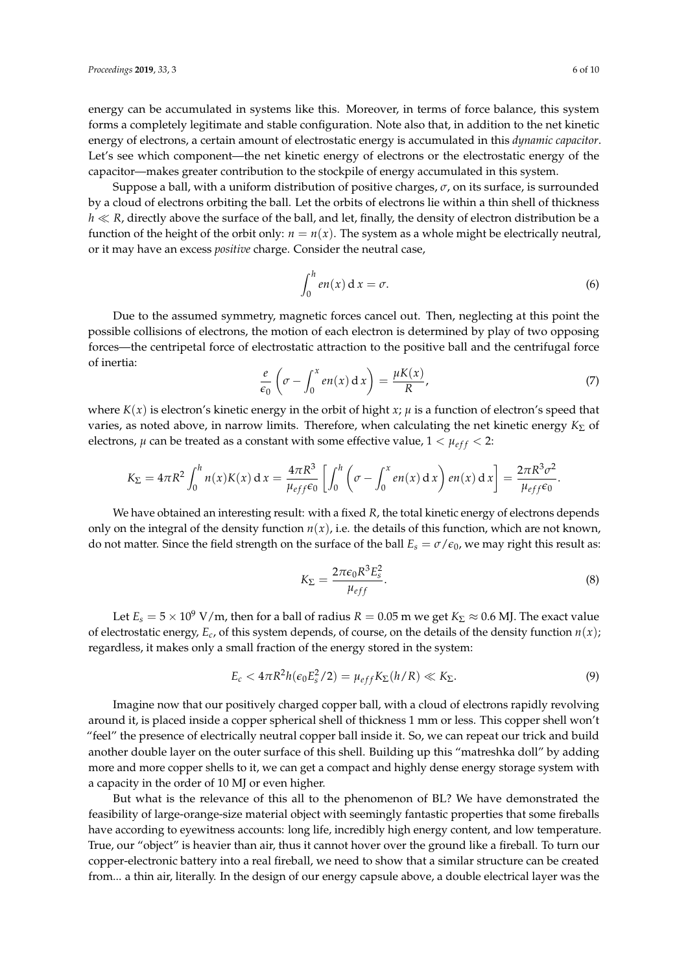energy can be accumulated in systems like this. Moreover, in terms of force balance, this system forms a completely legitimate and stable configuration. Note also that, in addition to the net kinetic energy of electrons, a certain amount of electrostatic energy is accumulated in this *dynamic capacitor*. Let's see which component—the net kinetic energy of electrons or the electrostatic energy of the capacitor—makes greater contribution to the stockpile of energy accumulated in this system.

Suppose a ball, with a uniform distribution of positive charges, *σ*, on its surface, is surrounded by a cloud of electrons orbiting the ball. Let the orbits of electrons lie within a thin shell of thickness *h*  $\ll$  *R*, directly above the surface of the ball, and let, finally, the density of electron distribution be a function of the height of the orbit only:  $n = n(x)$ . The system as a whole might be electrically neutral, or it may have an excess *positive* charge. Consider the neutral case,

$$
\int_0^h e n(x) \, \mathrm{d}x = \sigma. \tag{6}
$$

Due to the assumed symmetry, magnetic forces cancel out. Then, neglecting at this point the possible collisions of electrons, the motion of each electron is determined by play of two opposing forces—the centripetal force of electrostatic attraction to the positive ball and the centrifugal force of inertia:

$$
\frac{e}{\epsilon_0} \left( \sigma - \int_0^x en(x) \, \mathrm{d} \, x \right) = \frac{\mu K(x)}{R},\tag{7}
$$

where  $K(x)$  is electron's kinetic energy in the orbit of hight  $x$ ;  $\mu$  is a function of electron's speed that varies, as noted above, in narrow limits. Therefore, when calculating the net kinetic energy *K*<sub>Σ</sub> of electrons,  $\mu$  can be treated as a constant with some effective value,  $1 < \mu_{eff} < 2$ :

$$
K_{\Sigma} = 4\pi R^2 \int_0^h n(x)K(x) dx = \frac{4\pi R^3}{\mu_{eff}\epsilon_0} \left[ \int_0^h \left( \sigma - \int_0^x en(x) dx \right) en(x) dx \right] = \frac{2\pi R^3 \sigma^2}{\mu_{eff}\epsilon_0}.
$$

We have obtained an interesting result: with a fixed *R*, the total kinetic energy of electrons depends only on the integral of the density function  $n(x)$ , i.e. the details of this function, which are not known, do not matter. Since the field strength on the surface of the ball  $E_s = \sigma/\epsilon_0$ , we may right this result as:

$$
K_{\Sigma} = \frac{2\pi\epsilon_0 R^3 E_s^2}{\mu_{eff}}.\tag{8}
$$

Let  $E_s = 5 \times 10^9$  V/m, then for a ball of radius  $R = 0.05$  m we get  $K_\Sigma \approx 0.6$  MJ. The exact value of electrostatic energy,  $E_c$ , of this system depends, of course, on the details of the density function  $n(x)$ ; regardless, it makes only a small fraction of the energy stored in the system:

$$
E_c < 4\pi R^2 h(\epsilon_0 E_s^2/2) = \mu_{eff} K_\Sigma (h/R) \ll K_\Sigma.
$$
\n(9)

Imagine now that our positively charged copper ball, with a cloud of electrons rapidly revolving around it, is placed inside a copper spherical shell of thickness 1 mm or less. This copper shell won't "feel" the presence of electrically neutral copper ball inside it. So, we can repeat our trick and build another double layer on the outer surface of this shell. Building up this "matreshka doll" by adding more and more copper shells to it, we can get a compact and highly dense energy storage system with a capacity in the order of 10 MJ or even higher.

But what is the relevance of this all to the phenomenon of BL? We have demonstrated the feasibility of large-orange-size material object with seemingly fantastic properties that some fireballs have according to eyewitness accounts: long life, incredibly high energy content, and low temperature. True, our "object" is heavier than air, thus it cannot hover over the ground like a fireball. To turn our copper-electronic battery into a real fireball, we need to show that a similar structure can be created from... a thin air, literally. In the design of our energy capsule above, a double electrical layer was the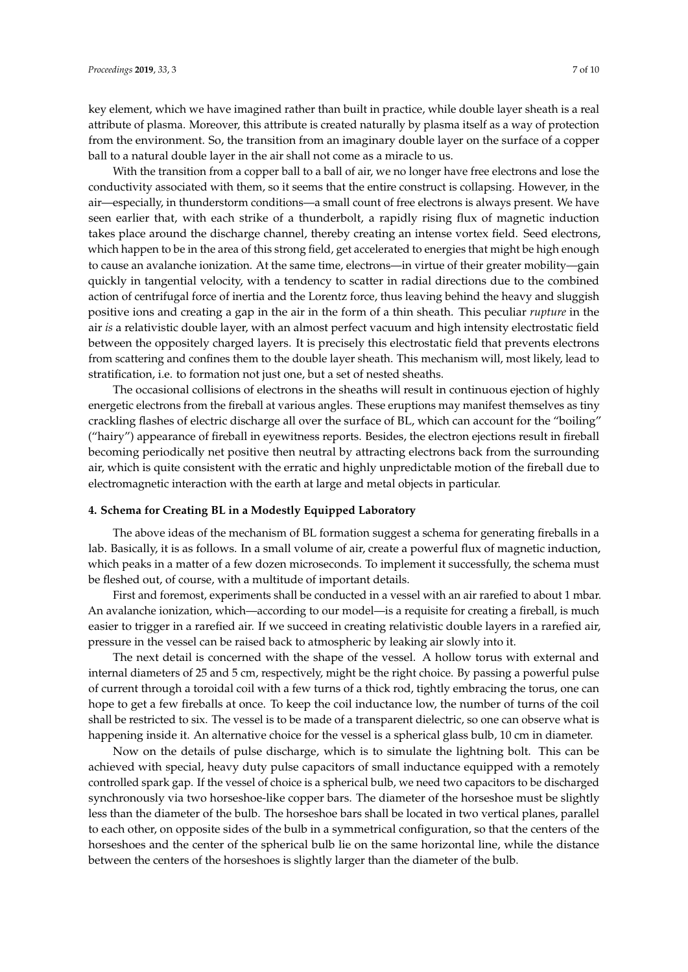key element, which we have imagined rather than built in practice, while double layer sheath is a real attribute of plasma. Moreover, this attribute is created naturally by plasma itself as a way of protection from the environment. So, the transition from an imaginary double layer on the surface of a copper ball to a natural double layer in the air shall not come as a miracle to us.

With the transition from a copper ball to a ball of air, we no longer have free electrons and lose the conductivity associated with them, so it seems that the entire construct is collapsing. However, in the air—especially, in thunderstorm conditions—a small count of free electrons is always present. We have seen earlier that, with each strike of a thunderbolt, a rapidly rising flux of magnetic induction takes place around the discharge channel, thereby creating an intense vortex field. Seed electrons, which happen to be in the area of this strong field, get accelerated to energies that might be high enough to cause an avalanche ionization. At the same time, electrons—in virtue of their greater mobility—gain quickly in tangential velocity, with a tendency to scatter in radial directions due to the combined action of centrifugal force of inertia and the Lorentz force, thus leaving behind the heavy and sluggish positive ions and creating a gap in the air in the form of a thin sheath. This peculiar *rupture* in the air *is* a relativistic double layer, with an almost perfect vacuum and high intensity electrostatic field between the oppositely charged layers. It is precisely this electrostatic field that prevents electrons from scattering and confines them to the double layer sheath. This mechanism will, most likely, lead to stratification, i.e. to formation not just one, but a set of nested sheaths.

The occasional collisions of electrons in the sheaths will result in continuous ejection of highly energetic electrons from the fireball at various angles. These eruptions may manifest themselves as tiny crackling flashes of electric discharge all over the surface of BL, which can account for the "boiling" ("hairy") appearance of fireball in eyewitness reports. Besides, the electron ejections result in fireball becoming periodically net positive then neutral by attracting electrons back from the surrounding air, which is quite consistent with the erratic and highly unpredictable motion of the fireball due to electromagnetic interaction with the earth at large and metal objects in particular.

#### **4. Schema for Creating BL in a Modestly Equipped Laboratory**

The above ideas of the mechanism of BL formation suggest a schema for generating fireballs in a lab. Basically, it is as follows. In a small volume of air, create a powerful flux of magnetic induction, which peaks in a matter of a few dozen microseconds. To implement it successfully, the schema must be fleshed out, of course, with a multitude of important details.

First and foremost, experiments shall be conducted in a vessel with an air rarefied to about 1 mbar. An avalanche ionization, which—according to our model—is a requisite for creating a fireball, is much easier to trigger in a rarefied air. If we succeed in creating relativistic double layers in a rarefied air, pressure in the vessel can be raised back to atmospheric by leaking air slowly into it.

The next detail is concerned with the shape of the vessel. A hollow torus with external and internal diameters of 25 and 5 cm, respectively, might be the right choice. By passing a powerful pulse of current through a toroidal coil with a few turns of a thick rod, tightly embracing the torus, one can hope to get a few fireballs at once. To keep the coil inductance low, the number of turns of the coil shall be restricted to six. The vessel is to be made of a transparent dielectric, so one can observe what is happening inside it. An alternative choice for the vessel is a spherical glass bulb, 10 cm in diameter.

Now on the details of pulse discharge, which is to simulate the lightning bolt. This can be achieved with special, heavy duty pulse capacitors of small inductance equipped with a remotely controlled spark gap. If the vessel of choice is a spherical bulb, we need two capacitors to be discharged synchronously via two horseshoe-like copper bars. The diameter of the horseshoe must be slightly less than the diameter of the bulb. The horseshoe bars shall be located in two vertical planes, parallel to each other, on opposite sides of the bulb in a symmetrical configuration, so that the centers of the horseshoes and the center of the spherical bulb lie on the same horizontal line, while the distance between the centers of the horseshoes is slightly larger than the diameter of the bulb.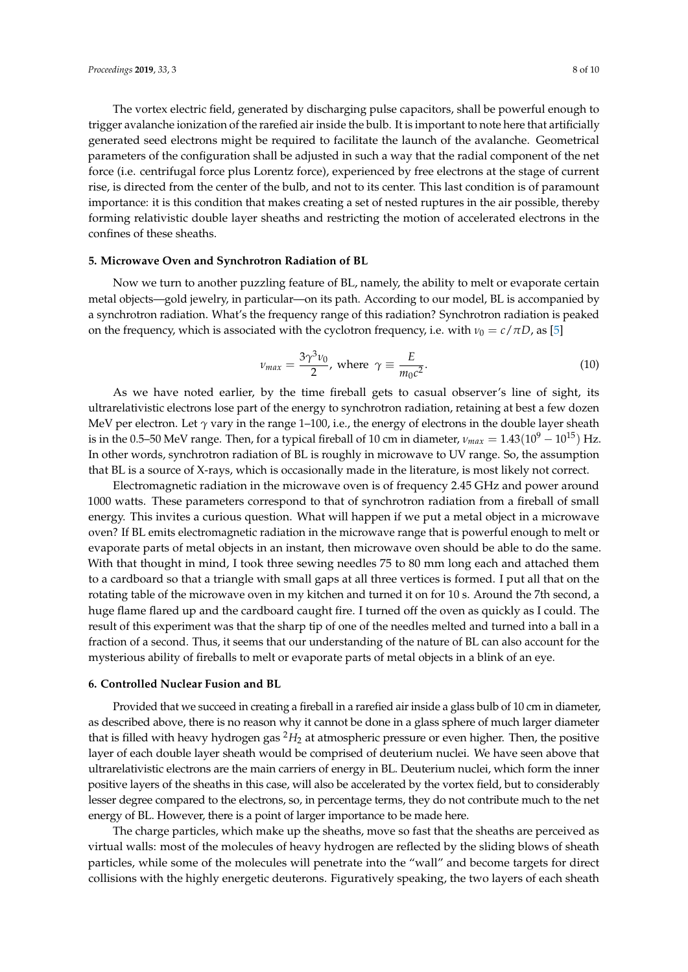The vortex electric field, generated by discharging pulse capacitors, shall be powerful enough to trigger avalanche ionization of the rarefied air inside the bulb. It is important to note here that artificially generated seed electrons might be required to facilitate the launch of the avalanche. Geometrical parameters of the configuration shall be adjusted in such a way that the radial component of the net force (i.e. centrifugal force plus Lorentz force), experienced by free electrons at the stage of current rise, is directed from the center of the bulb, and not to its center. This last condition is of paramount importance: it is this condition that makes creating a set of nested ruptures in the air possible, thereby forming relativistic double layer sheaths and restricting the motion of accelerated electrons in the confines of these sheaths.

#### **5. Microwave Oven and Synchrotron Radiation of BL**

Now we turn to another puzzling feature of BL, namely, the ability to melt or evaporate certain metal objects—gold jewelry, in particular—on its path. According to our model, BL is accompanied by a synchrotron radiation. What's the frequency range of this radiation? Synchrotron radiation is peaked on the frequency, which is associated with the cyclotron frequency, i.e. with  $\nu_0 = c/\pi D$ , as [\[5\]](#page-9-4)

$$
\nu_{max} = \frac{3\gamma^3 \nu_0}{2}, \text{ where } \gamma \equiv \frac{E}{m_0 c^2}.
$$
 (10)

As we have noted earlier, by the time fireball gets to casual observer's line of sight, its ultrarelativistic electrons lose part of the energy to synchrotron radiation, retaining at best a few dozen MeV per electron. Let *γ* vary in the range 1–100, i.e., the energy of electrons in the double layer sheath is in the 0.5–50 MeV range. Then, for a typical fireball of 10 cm in diameter,  $v_{max} = 1.43(10^9 - 10^{15})$  Hz. In other words, synchrotron radiation of BL is roughly in microwave to UV range. So, the assumption that BL is a source of X-rays, which is occasionally made in the literature, is most likely not correct.

Electromagnetic radiation in the microwave oven is of frequency 2.45 GHz and power around 1000 watts. These parameters correspond to that of synchrotron radiation from a fireball of small energy. This invites a curious question. What will happen if we put a metal object in a microwave oven? If BL emits electromagnetic radiation in the microwave range that is powerful enough to melt or evaporate parts of metal objects in an instant, then microwave oven should be able to do the same. With that thought in mind, I took three sewing needles 75 to 80 mm long each and attached them to a cardboard so that a triangle with small gaps at all three vertices is formed. I put all that on the rotating table of the microwave oven in my kitchen and turned it on for 10 s. Around the 7th second, a huge flame flared up and the cardboard caught fire. I turned off the oven as quickly as I could. The result of this experiment was that the sharp tip of one of the needles melted and turned into a ball in a fraction of a second. Thus, it seems that our understanding of the nature of BL can also account for the mysterious ability of fireballs to melt or evaporate parts of metal objects in a blink of an eye.

#### **6. Controlled Nuclear Fusion and BL**

Provided that we succeed in creating a fireball in a rarefied air inside a glass bulb of 10 cm in diameter, as described above, there is no reason why it cannot be done in a glass sphere of much larger diameter that is filled with heavy hydrogen gas  ${}^{2}H_{2}$  at atmospheric pressure or even higher. Then, the positive layer of each double layer sheath would be comprised of deuterium nuclei. We have seen above that ultrarelativistic electrons are the main carriers of energy in BL. Deuterium nuclei, which form the inner positive layers of the sheaths in this case, will also be accelerated by the vortex field, but to considerably lesser degree compared to the electrons, so, in percentage terms, they do not contribute much to the net energy of BL. However, there is a point of larger importance to be made here.

The charge particles, which make up the sheaths, move so fast that the sheaths are perceived as virtual walls: most of the molecules of heavy hydrogen are reflected by the sliding blows of sheath particles, while some of the molecules will penetrate into the "wall" and become targets for direct collisions with the highly energetic deuterons. Figuratively speaking, the two layers of each sheath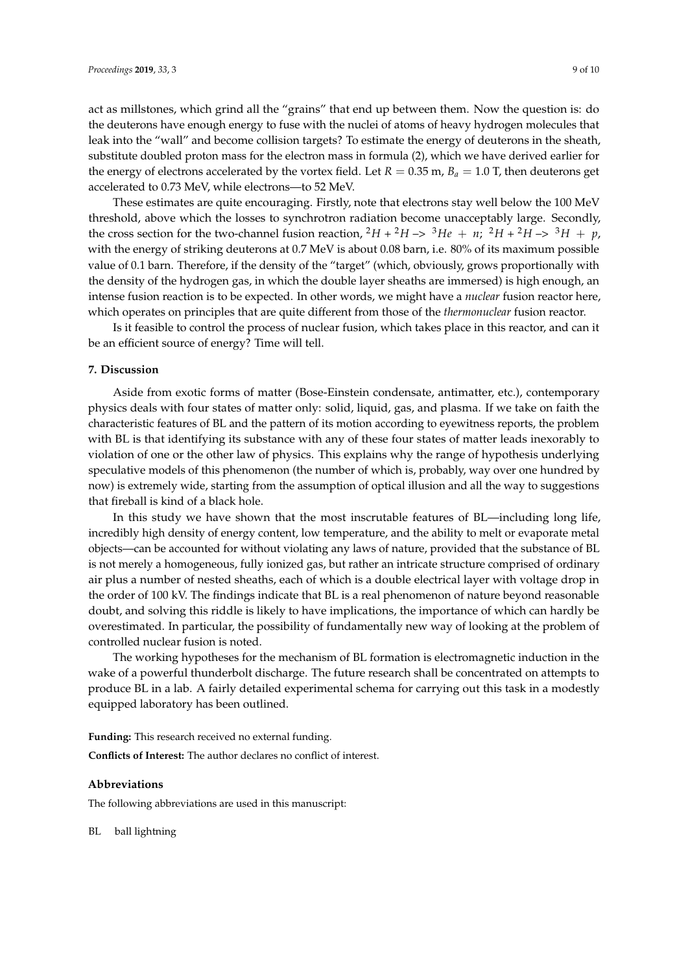act as millstones, which grind all the "grains" that end up between them. Now the question is: do the deuterons have enough energy to fuse with the nuclei of atoms of heavy hydrogen molecules that leak into the "wall" and become collision targets? To estimate the energy of deuterons in the sheath, substitute doubled proton mass for the electron mass in formula (2), which we have derived earlier for the energy of electrons accelerated by the vortex field. Let  $R = 0.35$  m,  $B<sub>a</sub> = 1.0$  T, then deuterons get accelerated to 0.73 MeV, while electrons—to 52 MeV.

These estimates are quite encouraging. Firstly, note that electrons stay well below the 100 MeV threshold, above which the losses to synchrotron radiation become unacceptably large. Secondly, the cross section for the two-channel fusion reaction,  ${}^2H + {}^2H \rightarrow {}^3He + n$ ;  ${}^2H + {}^2H \rightarrow {}^3H + p$ , with the energy of striking deuterons at 0.7 MeV is about 0.08 barn, i.e. 80% of its maximum possible value of 0.1 barn. Therefore, if the density of the "target" (which, obviously, grows proportionally with the density of the hydrogen gas, in which the double layer sheaths are immersed) is high enough, an intense fusion reaction is to be expected. In other words, we might have a *nuclear* fusion reactor here, which operates on principles that are quite different from those of the *thermonuclear* fusion reactor.

Is it feasible to control the process of nuclear fusion, which takes place in this reactor, and can it be an efficient source of energy? Time will tell.

#### **7. Discussion**

Aside from exotic forms of matter (Bose-Einstein condensate, antimatter, etc.), contemporary physics deals with four states of matter only: solid, liquid, gas, and plasma. If we take on faith the characteristic features of BL and the pattern of its motion according to eyewitness reports, the problem with BL is that identifying its substance with any of these four states of matter leads inexorably to violation of one or the other law of physics. This explains why the range of hypothesis underlying speculative models of this phenomenon (the number of which is, probably, way over one hundred by now) is extremely wide, starting from the assumption of optical illusion and all the way to suggestions that fireball is kind of a black hole.

In this study we have shown that the most inscrutable features of BL—including long life, incredibly high density of energy content, low temperature, and the ability to melt or evaporate metal objects—can be accounted for without violating any laws of nature, provided that the substance of BL is not merely a homogeneous, fully ionized gas, but rather an intricate structure comprised of ordinary air plus a number of nested sheaths, each of which is a double electrical layer with voltage drop in the order of 100 kV. The findings indicate that BL is a real phenomenon of nature beyond reasonable doubt, and solving this riddle is likely to have implications, the importance of which can hardly be overestimated. In particular, the possibility of fundamentally new way of looking at the problem of controlled nuclear fusion is noted.

The working hypotheses for the mechanism of BL formation is electromagnetic induction in the wake of a powerful thunderbolt discharge. The future research shall be concentrated on attempts to produce BL in a lab. A fairly detailed experimental schema for carrying out this task in a modestly equipped laboratory has been outlined.

**Funding:** This research received no external funding.

**Conflicts of Interest:** The author declares no conflict of interest.

#### **Abbreviations**

The following abbreviations are used in this manuscript:

BL ball lightning